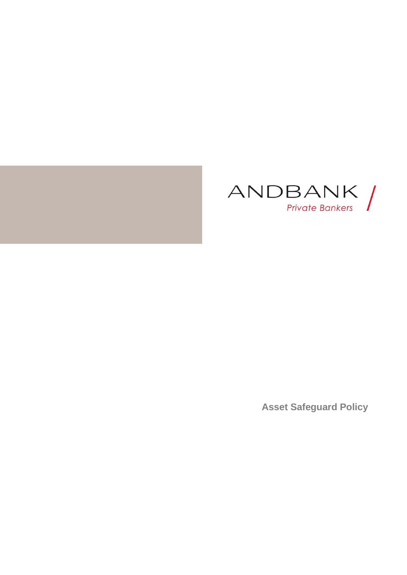



**Asset Safeguard Policy**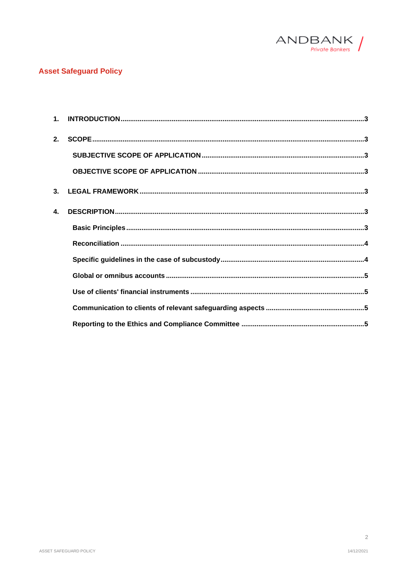

# **Asset Safeguard Policy**

| 2.           |  |
|--------------|--|
|              |  |
|              |  |
| 3.           |  |
| $\mathbf{A}$ |  |
|              |  |
|              |  |
|              |  |
|              |  |
|              |  |
|              |  |
|              |  |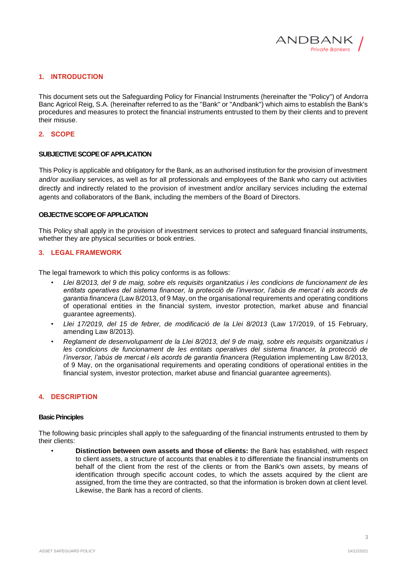

### <span id="page-2-0"></span>**1. INTRODUCTION**

This document sets out the Safeguarding Policy for Financial Instruments (hereinafter the "Policy") of Andorra Banc Agricol Reig, S.A. (hereinafter referred to as the "Bank" or "Andbank") which aims to establish the Bank's procedures and measures to protect the financial instruments entrusted to them by their clients and to prevent their misuse.

### <span id="page-2-1"></span>**2. SCOPE**

### <span id="page-2-2"></span>**SUBJECTIVE SCOPE OF APPLICATION**

This Policy is applicable and obligatory for the Bank, as an authorised institution for the provision of investment and/or auxiliary services, as well as for all professionals and employees of the Bank who carry out activities directly and indirectly related to the provision of investment and/or ancillary services including the external agents and collaborators of the Bank, including the members of the Board of Directors.

### <span id="page-2-3"></span>**OBJECTIVE SCOPE OF APPLICATION**

This Policy shall apply in the provision of investment services to protect and safeguard financial instruments, whether they are physical securities or book entries.

## <span id="page-2-4"></span>**3. LEGAL FRAMEWORK**

The legal framework to which this policy conforms is as follows:

- *Llei 8/2013, del 9 de maig, sobre els requisits organitzatius i les condicions de funcionament de les entitats operatives del sistema financer, la protecció de l'inversor, l'abús de mercat i els acords de garantia financera* (Law 8/2013, of 9 May, on the organisational requirements and operating conditions of operational entities in the financial system, investor protection, market abuse and financial guarantee agreements).
- *Llei 17/2019, del 15 de febrer, de modificació de la Llei 8/2013* (Law 17/2019, of 15 February, amending Law 8/2013).
- *Reglament de desenvolupament de la Llei 8/2013, del 9 de maig, sobre els requisits organitzatius i les condicions de funcionament de les entitats operatives del sistema financer, la protecció de l'inversor, l'abús de mercat i els acords de garantia financera* (Regulation implementing Law 8/2013, of 9 May, on the organisational requirements and operating conditions of operational entities in the financial system, investor protection, market abuse and financial guarantee agreements).

### <span id="page-2-5"></span>**4. DESCRIPTION**

#### <span id="page-2-6"></span>**Basic Principles**

The following basic principles shall apply to the safeguarding of the financial instruments entrusted to them by their clients:

• **Distinction between own assets and those of clients:** the Bank has established, with respect to client assets, a structure of accounts that enables it to differentiate the financial instruments on behalf of the client from the rest of the clients or from the Bank's own assets, by means of identification through specific account codes, to which the assets acquired by the client are assigned, from the time they are contracted, so that the information is broken down at client level. Likewise, the Bank has a record of clients.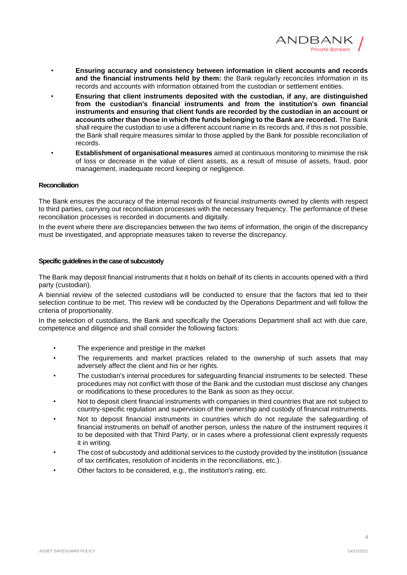

- **Ensuring accuracy and consistency between information in client accounts and records and the financial instruments held by them:** the Bank regularly reconciles information in its records and accounts with information obtained from the custodian or settlement entities.
- **Ensuring that client instruments deposited with the custodian, if any, are distinguished from the custodian's financial instruments and from the institution's own financial instruments and ensuring that client funds are recorded by the custodian in an account or accounts other than those in which the funds belonging to the Bank are recorded.** The Bank shall require the custodian to use a different account name in its records and, if this is not possible, the Bank shall require measures similar to those applied by the Bank for possible reconciliation of records.
- **Establishment of organisational measures** aimed at continuous monitoring to minimise the risk of loss or decrease in the value of client assets, as a result of misuse of assets, fraud, poor management, inadequate record keeping or negligence.

### <span id="page-3-0"></span>**Reconciliation**

The Bank ensures the accuracy of the internal records of financial instruments owned by clients with respect to third parties, carrying out reconciliation processes with the necessary frequency. The performance of these reconciliation processes is recorded in documents and digitally.

In the event where there are discrepancies between the two items of information, the origin of the discrepancy must be investigated, and appropriate measures taken to reverse the discrepancy.

#### <span id="page-3-1"></span>**Specific guidelines in the case of subcustody**

The Bank may deposit financial instruments that it holds on behalf of its clients in accounts opened with a third party (custodian).

A biennial review of the selected custodians will be conducted to ensure that the factors that led to their selection continue to be met. This review will be conducted by the Operations Department and will follow the criteria of proportionality.

In the selection of custodians, the Bank and specifically the Operations Department shall act with due care, competence and diligence and shall consider the following factors:

- The experience and prestige in the market
- The requirements and market practices related to the ownership of such assets that may adversely affect the client and his or her rights.
- The custodian's internal procedures for safeguarding financial instruments to be selected. These procedures may not conflict with those of the Bank and the custodian must disclose any changes or modifications to these procedures to the Bank as soon as they occur.
- Not to deposit client financial instruments with companies in third countries that are not subject to country-specific regulation and supervision of the ownership and custody of financial instruments.
- Not to deposit financial instruments in countries which do not regulate the safeguarding of financial instruments on behalf of another person, unless the nature of the instrument requires it to be deposited with that Third Party, or in cases where a professional client expressly requests it in writing.
- The cost of subcustody and additional services to the custody provided by the institution (issuance of tax certificates, resolution of incidents in the reconciliations, etc.).
- Other factors to be considered, e.g., the institution's rating, etc.